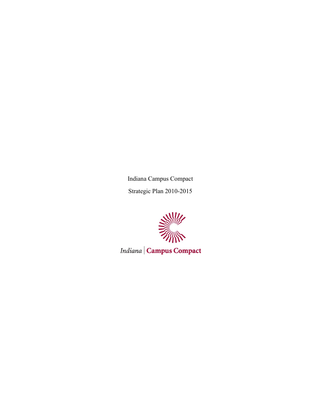Indiana Campus Compact Strategic Plan 2010-2015



Indiana | Campus Compact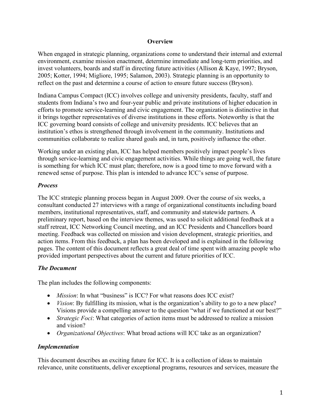#### **Overview**

When engaged in strategic planning, organizations come to understand their internal and external environment, examine mission enactment, determine immediate and long-term priorities, and invest volunteers, boards and staff in directing future activities (Allison & Kaye, 1997; Bryson, 2005; Kotter, 1994; Migliore, 1995; Salamon, 2003). Strategic planning is an opportunity to reflect on the past and determine a course of action to ensure future success (Bryson).

Indiana Campus Compact (ICC) involves college and university presidents, faculty, staff and students from Indiana's two and four-year public and private institutions of higher education in efforts to promote service-learning and civic engagement. The organization is distinctive in that it brings together representatives of diverse institutions in these efforts. Noteworthy is that the ICC governing board consists of college and university presidents. ICC believes that an institution's ethos is strengthened through involvement in the community. Institutions and communities collaborate to realize shared goals and, in turn, positively influence the other.

Working under an existing plan, ICC has helped members positively impact people's lives through service-learning and civic engagement activities. While things are going well, the future is something for which ICC must plan; therefore, now is a good time to move forward with a renewed sense of purpose. This plan is intended to advance ICC's sense of purpose.

## *Process*

The ICC strategic planning process began in August 2009. Over the course of six weeks, a consultant conducted 27 interviews with a range of organizational constituents including board members, institutional representatives, staff, and community and statewide partners. A preliminary report, based on the interview themes, was used to solicit additional feedback at a staff retreat, ICC Networking Council meeting, and an ICC Presidents and Chancellors board meeting. Feedback was collected on mission and vision development, strategic priorities, and action items. From this feedback, a plan has been developed and is explained in the following pages. The content of this document reflects a great deal of time spent with amazing people who provided important perspectives about the current and future priorities of ICC.

## *The Document*

The plan includes the following components:

- *Mission*: In what "business" is ICC? For what reasons does ICC exist?
- *Vision*: By fulfilling its mission, what is the organization's ability to go to a new place? Visions provide a compelling answer to the question "what if we functioned at our best?"
- *Strategic Foci*: What categories of action items must be addressed to realize a mission and vision?
- *Organizational Objectives*: What broad actions will ICC take as an organization?

## *Implementation*

This document describes an exciting future for ICC. It is a collection of ideas to maintain relevance, unite constituents, deliver exceptional programs, resources and services, measure the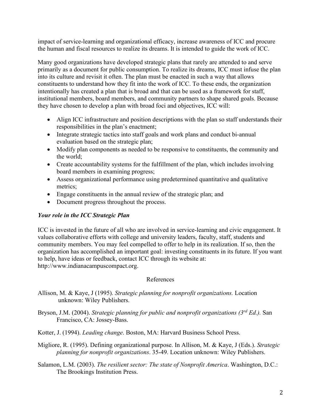impact of service-learning and organizational efficacy, increase awareness of ICC and procure the human and fiscal resources to realize its dreams. It is intended to guide the work of ICC.

Many good organizations have developed strategic plans that rarely are attended to and serve primarily as a document for public consumption. To realize its dreams, ICC must infuse the plan into its culture and revisit it often. The plan must be enacted in such a way that allows constituents to understand how they fit into the work of ICC. To these ends, the organization intentionally has created a plan that is broad and that can be used as a framework for staff, institutional members, board members, and community partners to shape shared goals. Because they have chosen to develop a plan with broad foci and objectives, ICC will:

- Align ICC infrastructure and position descriptions with the plan so staff understands their responsibilities in the plan's enactment;
- Integrate strategic tactics into staff goals and work plans and conduct bi-annual evaluation based on the strategic plan;
- Modify plan components as needed to be responsive to constituents, the community and the world;
- Create accountability systems for the fulfillment of the plan, which includes involving board members in examining progress;
- Assess organizational performance using predetermined quantitative and qualitative metrics;
- Engage constituents in the annual review of the strategic plan; and
- Document progress throughout the process.

## *Your role in the ICC Strategic Plan*

ICC is invested in the future of all who are involved in service-learning and civic engagement. It values collaborative efforts with college and university leaders, faculty, staff, students and community members. You may feel compelled to offer to help in its realization. If so, then the organization has accomplished an important goal: investing constituents in its future. If you want to help, have ideas or feedback, contact ICC through its website at: http://www.indianacampuscompact.org.

## References

- Allison, M. & Kaye, J (1995). *Strategic planning for nonprofit organizations.* Location unknown: Wiley Publishers.
- Bryson, J.M. (2004). *Strategic planning for public and nonprofit organizations (3rd Ed.).* San Francisco, CA: Jossey-Bass.
- Kotter, J. (1994). *Leading change*. Boston, MA: Harvard Business School Press.
- Migliore, R. (1995). Defining organizational purpose. In Allison, M. & Kaye, J (Eds.). *Strategic planning for nonprofit organizations*. 35-49. Location unknown: Wiley Publishers.
- Salamon, L.M. (2003). *The resilient sector: The state of Nonprofit America*. Washington, D.C.: The Brookings Institution Press.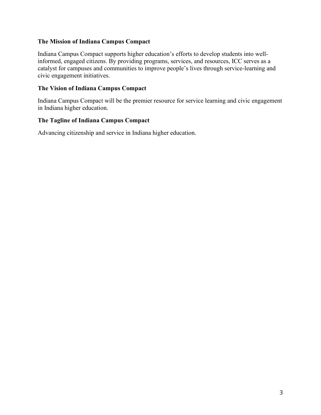## **The Mission of Indiana Campus Compact**

Indiana Campus Compact supports higher education's efforts to develop students into wellinformed, engaged citizens. By providing programs, services, and resources, ICC serves as a catalyst for campuses and communities to improve people's lives through service-learning and civic engagement initiatives.

# **The Vision of Indiana Campus Compact**

Indiana Campus Compact will be the premier resource for service learning and civic engagement in Indiana higher education.

## **The Tagline of Indiana Campus Compact**

Advancing citizenship and service in Indiana higher education.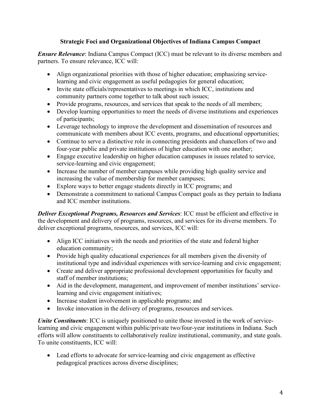# **Strategic Foci and Organizational Objectives of Indiana Campus Compact**

*Ensure Relevance*: Indiana Campus Compact (ICC) must be relevant to its diverse members and partners. To ensure relevance, ICC will:

- Align organizational priorities with those of higher education; emphasizing servicelearning and civic engagement as useful pedagogies for general education;
- Invite state officials/representatives to meetings in which ICC, institutions and community partners come together to talk about such issues;
- Provide programs, resources, and services that speak to the needs of all members;
- Develop learning opportunities to meet the needs of diverse institutions and experiences of participants;
- Leverage technology to improve the development and dissemination of resources and communicate with members about ICC events, programs, and educational opportunities;
- Continue to serve a distinctive role in connecting presidents and chancellors of two and four-year public and private institutions of higher education with one another;
- Engage executive leadership on higher education campuses in issues related to service, service-learning and civic engagement;
- Increase the number of member campuses while providing high quality service and increasing the value of membership for member campuses;
- Explore ways to better engage students directly in ICC programs; and
- Demonstrate a commitment to national Campus Compact goals as they pertain to Indiana and ICC member institutions.

*Deliver Exceptional Programs, Resources and Services*: ICC must be efficient and effective in the development and delivery of programs, resources, and services for its diverse members. To deliver exceptional programs, resources, and services, ICC will:

- Align ICC initiatives with the needs and priorities of the state and federal higher education community;
- Provide high quality educational experiences for all members given the diversity of institutional type and individual experiences with service-learning and civic engagement;
- Create and deliver appropriate professional development opportunities for faculty and staff of member institutions;
- Aid in the development, management, and improvement of member institutions' servicelearning and civic engagement initiatives;
- Increase student involvement in applicable programs; and
- Invoke innovation in the delivery of programs, resources and services.

*Unite Constituents*: ICC is uniquely positioned to unite those invested in the work of servicelearning and civic engagement within public/private two/four-year institutions in Indiana. Such efforts will allow constituents to collaboratively realize institutional, community, and state goals. To unite constituents, ICC will:

• Lead efforts to advocate for service-learning and civic engagement as effective pedagogical practices across diverse disciplines;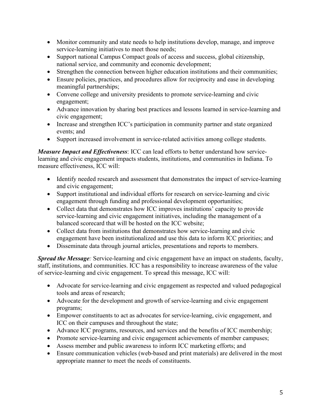- Monitor community and state needs to help institutions develop, manage, and improve service-learning initiatives to meet those needs;
- Support national Campus Compact goals of access and success, global citizenship, national service, and community and economic development;
- Strengthen the connection between higher education institutions and their communities;
- Ensure policies, practices, and procedures allow for reciprocity and ease in developing meaningful partnerships;
- Convene college and university presidents to promote service-learning and civic engagement;
- Advance innovation by sharing best practices and lessons learned in service-learning and civic engagement;
- Increase and strengthen ICC's participation in community partner and state organized events; and
- Support increased involvement in service-related activities among college students.

*Measure Impact and Effectiveness*: ICC can lead efforts to better understand how servicelearning and civic engagement impacts students, institutions, and communities in Indiana. To measure effectiveness, ICC will:

- Identify needed research and assessment that demonstrates the impact of service-learning and civic engagement;
- Support institutional and individual efforts for research on service-learning and civic engagement through funding and professional development opportunities;
- Collect data that demonstrates how ICC improves institutions' capacity to provide service-learning and civic engagement initiatives, including the management of a balanced scorecard that will be hosted on the ICC website;
- Collect data from institutions that demonstrates how service-learning and civic engagement have been institutionalized and use this data to inform ICC priorities; and
- Disseminate data through journal articles, presentations and reports to members.

*Spread the Message:* Service-learning and civic engagement have an impact on students, faculty, staff, institutions, and communities. ICC has a responsibility to increase awareness of the value of service-learning and civic engagement. To spread this message, ICC will:

- Advocate for service-learning and civic engagement as respected and valued pedagogical tools and areas of research;
- Advocate for the development and growth of service-learning and civic engagement programs;
- Empower constituents to act as advocates for service-learning, civic engagement, and ICC on their campuses and throughout the state;
- Advance ICC programs, resources, and services and the benefits of ICC membership;
- Promote service-learning and civic engagement achievements of member campuses;
- Assess member and public awareness to inform ICC marketing efforts; and
- Ensure communication vehicles (web-based and print materials) are delivered in the most appropriate manner to meet the needs of constituents.